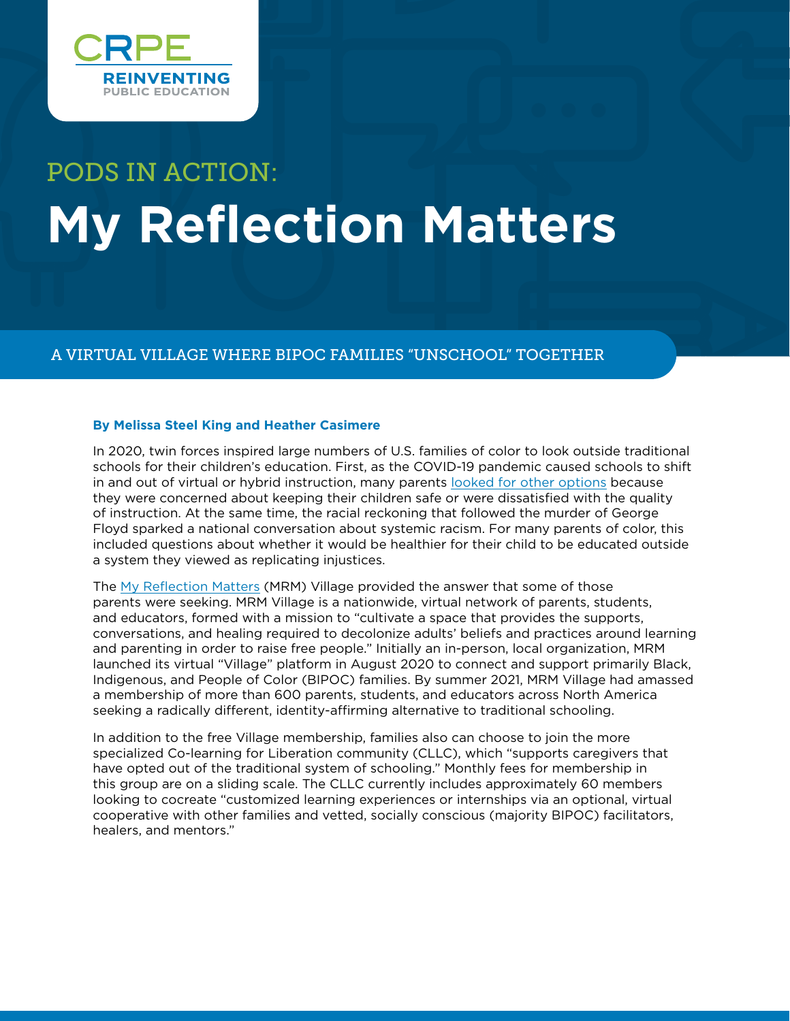

# PODS IN ACTION: **My Reflection Matters**

## A VIRTUAL VILLAGE WHERE BIPOC FAMILIES "UNSCHOOL" TOGETHER

## **By Melissa Steel King and Heather Casimere**

In 2020, twin forces inspired large numbers of U.S. families of color to look outside traditional schools for their children's education. First, as the COVID-19 pandemic caused schools to shift in and out of virtual or hybrid instruction, many parents [looked for other options](https://www.census.gov/library/stories/2021/03/homeschooling-on-the-rise-during-covid-19-pandemic.html) because they were concerned about keeping their children safe or were dissatisfied with the quality of instruction. At the same time, the racial reckoning that followed the murder of George Floyd sparked a national conversation about systemic racism. For many parents of color, this included questions about whether it would be healthier for their child to be educated outside a system they viewed as replicating injustices.

The [My Reflection Matters](http://www.myreflectionmatters.org/) (MRM) Village provided the answer that some of those parents were seeking. MRM Village is a nationwide, virtual network of parents, students, and educators, formed with a mission to "cultivate a space that provides the supports, conversations, and healing required to decolonize adults' beliefs and practices around learning and parenting in order to raise free people." Initially an in-person, local organization, MRM launched its virtual "Village" platform in August 2020 to connect and support primarily Black, Indigenous, and People of Color (BIPOC) families. By summer 2021, MRM Village had amassed a membership of more than 600 parents, students, and educators across North America seeking a radically different, identity-affirming alternative to traditional schooling.

In addition to the free Village membership, families also can choose to join the more specialized Co-learning for Liberation community (CLLC), which "supports caregivers that have opted out of the traditional system of schooling." Monthly fees for membership in this group are on a sliding scale. The CLLC currently includes approximately 60 members looking to cocreate "customized learning experiences or internships via an optional, virtual cooperative with other families and vetted, socially conscious (majority BIPOC) facilitators, healers, and mentors."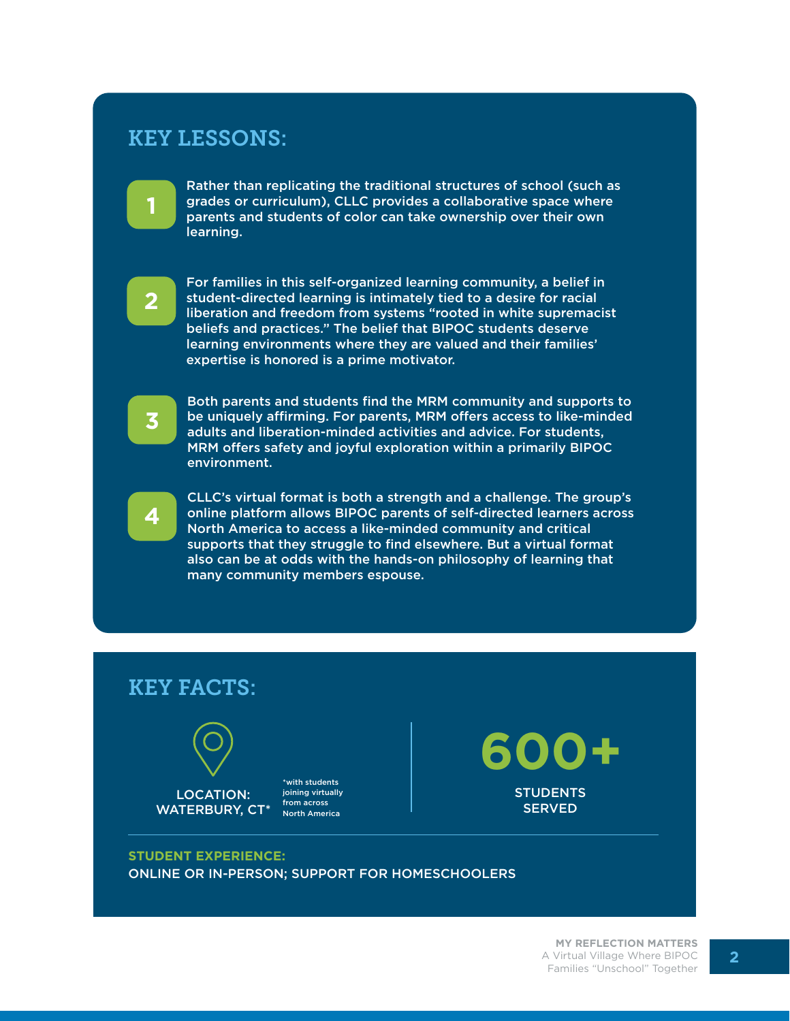## KEY LESSONS:



Rather than replicating the traditional structures of school (such as grades or curriculum), CLLC provides a collaborative space where parents and students of color can take ownership over their own learning.



For families in this self-organized learning community, a belief in student-directed learning is intimately tied to a desire for racial liberation and freedom from systems "rooted in white supremacist beliefs and practices." The belief that BIPOC students deserve learning environments where they are valued and their families' expertise is honored is a prime motivator.



Both parents and students find the MRM community and supports to be uniquely affirming. For parents, MRM offers access to like-minded adults and liberation-minded activities and advice. For students, MRM offers safety and joyful exploration within a primarily BIPOC environment.



CLLC's virtual format is both a strength and a challenge. The group's online platform allows BIPOC parents of self-directed learners across North America to access a like-minded community and critical supports that they struggle to find elsewhere. But a virtual format also can be at odds with the hands-on philosophy of learning that many community members espouse.



## **STUDENT EXPERIENCE:**

ONLINE OR IN-PERSON; SUPPORT FOR HOMESCHOOLERS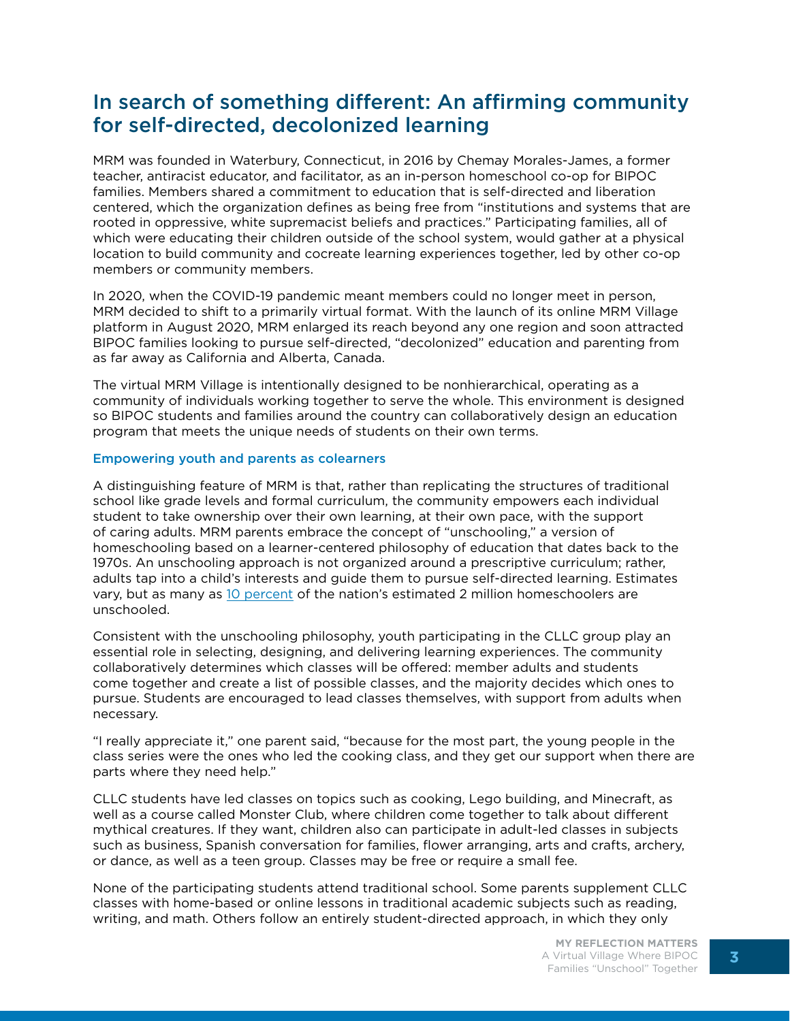## In search of something different: An affirming community for self-directed, decolonized learning

MRM was founded in Waterbury, Connecticut, in 2016 by Chemay Morales-James, a former teacher, antiracist educator, and facilitator, as an in-person homeschool co-op for BIPOC families. Members shared a commitment to education that is self-directed and liberation centered, which the organization defines as being free from "institutions and systems that are rooted in oppressive, white supremacist beliefs and practices." Participating families, all of which were educating their children outside of the school system, would gather at a physical location to build community and cocreate learning experiences together, led by other co-op members or community members.

In 2020, when the COVID-19 pandemic meant members could no longer meet in person, MRM decided to shift to a primarily virtual format. With the launch of its online MRM Village platform in August 2020, MRM enlarged its reach beyond any one region and soon attracted BIPOC families looking to pursue self-directed, "decolonized" education and parenting from as far away as California and Alberta, Canada.

The virtual MRM Village is intentionally designed to be nonhierarchical, operating as a community of individuals working together to serve the whole. This environment is designed so BIPOC students and families around the country can collaboratively design an education program that meets the unique needs of students on their own terms.

#### Empowering youth and parents as colearners

A distinguishing feature of MRM is that, rather than replicating the structures of traditional school like grade levels and formal curriculum, the community empowers each individual student to take ownership over their own learning, at their own pace, with the support of caring adults. MRM parents embrace the concept of "unschooling," a version of homeschooling based on a learner-centered philosophy of education that dates back to the 1970s. An unschooling approach is not organized around a prescriptive curriculum; rather, adults tap into a child's interests and guide them to pursue self-directed learning. Estimates vary, but as many as [10 percent](https://resilienteducator.com/classroom-resources/unschooling/) of the nation's estimated 2 million homeschoolers are unschooled.

Consistent with the unschooling philosophy, youth participating in the CLLC group play an essential role in selecting, designing, and delivering learning experiences. The community collaboratively determines which classes will be offered: member adults and students come together and create a list of possible classes, and the majority decides which ones to pursue. Students are encouraged to lead classes themselves, with support from adults when necessary.

"I really appreciate it," one parent said, "because for the most part, the young people in the class series were the ones who led the cooking class, and they get our support when there are parts where they need help."

CLLC students have led classes on topics such as cooking, Lego building, and Minecraft, as well as a course called Monster Club, where children come together to talk about different mythical creatures. If they want, children also can participate in adult-led classes in subjects such as business, Spanish conversation for families, flower arranging, arts and crafts, archery, or dance, as well as a teen group. Classes may be free or require a small fee.

None of the participating students attend traditional school. Some parents supplement CLLC classes with home-based or online lessons in traditional academic subjects such as reading, writing, and math. Others follow an entirely student-directed approach, in which they only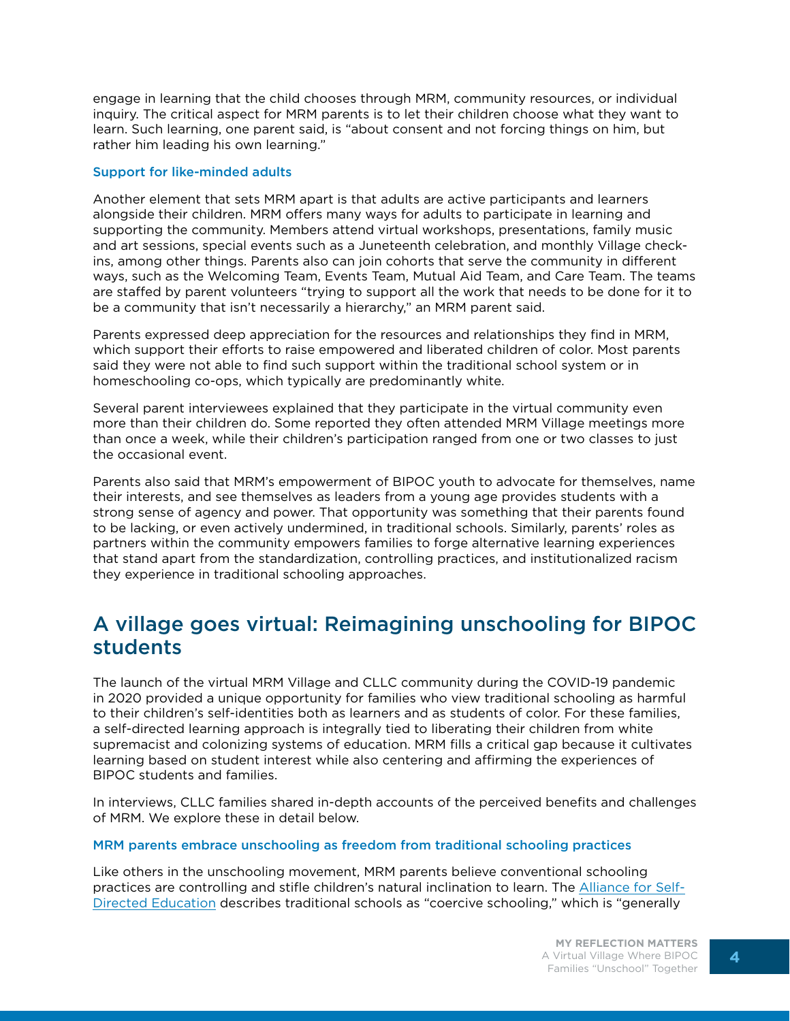engage in learning that the child chooses through MRM, community resources, or individual inquiry. The critical aspect for MRM parents is to let their children choose what they want to learn. Such learning, one parent said, is "about consent and not forcing things on him, but rather him leading his own learning."

## Support for like-minded adults

Another element that sets MRM apart is that adults are active participants and learners alongside their children. MRM offers many ways for adults to participate in learning and supporting the community. Members attend virtual workshops, presentations, family music and art sessions, special events such as a Juneteenth celebration, and monthly Village checkins, among other things. Parents also can join cohorts that serve the community in different ways, such as the Welcoming Team, Events Team, Mutual Aid Team, and Care Team. The teams are staffed by parent volunteers "trying to support all the work that needs to be done for it to be a community that isn't necessarily a hierarchy," an MRM parent said.

Parents expressed deep appreciation for the resources and relationships they find in MRM, which support their efforts to raise empowered and liberated children of color. Most parents said they were not able to find such support within the traditional school system or in homeschooling co-ops, which typically are predominantly white.

Several parent interviewees explained that they participate in the virtual community even more than their children do. Some reported they often attended MRM Village meetings more than once a week, while their children's participation ranged from one or two classes to just the occasional event.

Parents also said that MRM's empowerment of BIPOC youth to advocate for themselves, name their interests, and see themselves as leaders from a young age provides students with a strong sense of agency and power. That opportunity was something that their parents found to be lacking, or even actively undermined, in traditional schools. Similarly, parents' roles as partners within the community empowers families to forge alternative learning experiences that stand apart from the standardization, controlling practices, and institutionalized racism they experience in traditional schooling approaches.

## A village goes virtual: Reimagining unschooling for BIPOC students

The launch of the virtual MRM Village and CLLC community during the COVID-19 pandemic in 2020 provided a unique opportunity for families who view traditional schooling as harmful to their children's self-identities both as learners and as students of color. For these families, a self-directed learning approach is integrally tied to liberating their children from white supremacist and colonizing systems of education. MRM fills a critical gap because it cultivates learning based on student interest while also centering and affirming the experiences of BIPOC students and families.

In interviews, CLLC families shared in-depth accounts of the perceived benefits and challenges of MRM. We explore these in detail below.

#### MRM parents embrace unschooling as freedom from traditional schooling practices

Like others in the unschooling movement, MRM parents believe conventional schooling practices are controlling and stifle children's natural inclination to learn. The [Alliance for Self-](https://www.self-directed.org/sde/)[Directed Education](https://www.self-directed.org/sde/) describes traditional schools as "coercive schooling," which is "generally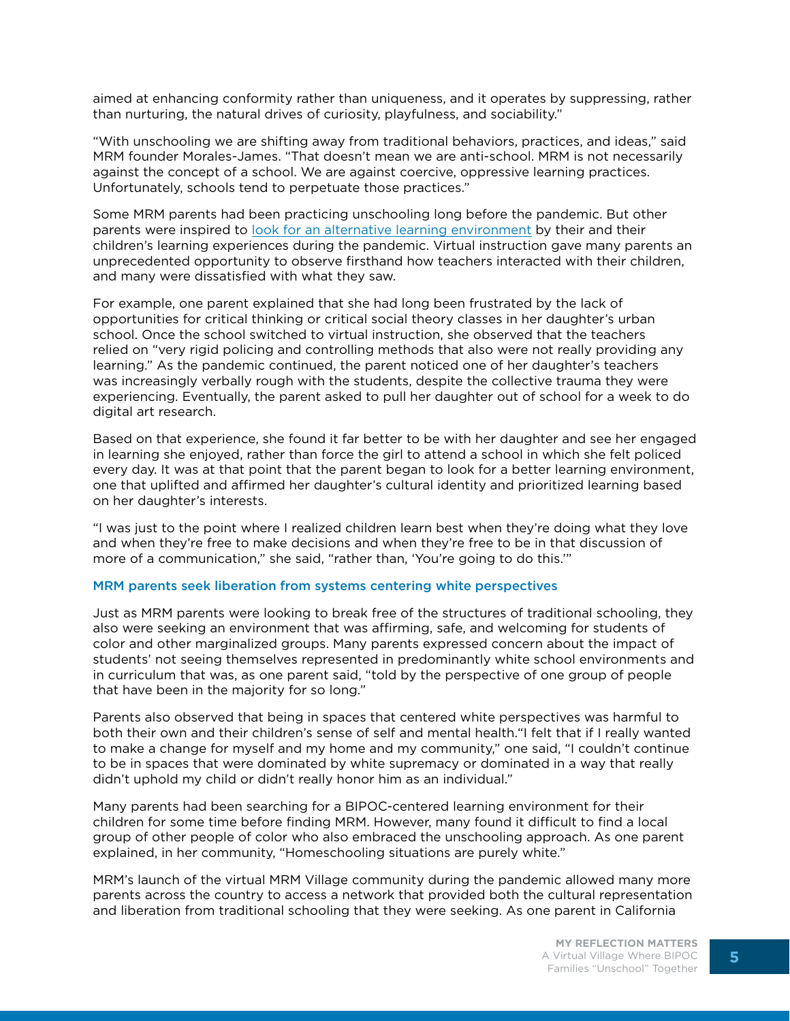aimed at enhancing conformity rather than uniqueness, and it operates by suppressing, rather than nurturing, the natural drives of curiosity, playfulness, and sociability."

"With unschooling we are shifting away from traditional behaviors, practices, and ideas," said MRM founder Morales-James. "That doesn't mean we are anti-school. MRM is not necessarily against the concept of a school. We are against coercive, oppressive learning practices. Unfortunately, schools tend to perpetuate those practices."

Some MRM parents had been practicing unschooling long before the pandemic. But other parents were inspired to [look for an alternative learning environment](https://www.slj.com/?detailStory=unschooling-movement-gaining-popularity) by their and their children's learning experiences during the pandemic. Virtual instruction gave many parents an unprecedented opportunity to observe firsthand how teachers interacted with their children, and many were dissatisfied with what they saw.

For example, one parent explained that she had long been frustrated by the lack of opportunities for critical thinking or critical social theory classes in her daughter's urban school. Once the school switched to virtual instruction, she observed that the teachers relied on "very rigid policing and controlling methods that also were not really providing any learning." As the pandemic continued, the parent noticed one of her daughter's teachers was increasingly verbally rough with the students, despite the collective trauma they were experiencing. Eventually, the parent asked to pull her daughter out of school for a week to do digital art research.

Based on that experience, she found it far better to be with her daughter and see her engaged in learning she enjoyed, rather than force the girl to attend a school in which she felt policed every day. It was at that point that the parent began to look for a better learning environment, one that uplifted and affirmed her daughter's cultural identity and prioritized learning based on her daughter's interests.

"I was just to the point where I realized children learn best when they're doing what they love and when they're free to make decisions and when they're free to be in that discussion of more of a communication," she said, "rather than, 'You're going to do this.'"

#### MRM parents seek liberation from systems centering white perspectives

Just as MRM parents were looking to break free of the structures of traditional schooling, they also were seeking an environment that was affirming, safe, and welcoming for students of color and other marginalized groups. Many parents expressed concern about the impact of students' not seeing themselves represented in predominantly white school environments and in curriculum that was, as one parent said, "told by the perspective of one group of people that have been in the majority for so long."

Parents also observed that being in spaces that centered white perspectives was harmful to both their own and their children's sense of self and mental health."I felt that if I really wanted to make a change for myself and my home and my community," one said, "I couldn't continue to be in spaces that were dominated by white supremacy or dominated in a way that really didn't uphold my child or didn't really honor him as an individual."

Many parents had been searching for a BIPOC-centered learning environment for their children for some time before finding MRM. However, many found it difficult to find a local group of other people of color who also embraced the unschooling approach. As one parent explained, in her community, "Homeschooling situations are purely white."

MRM's launch of the virtual MRM Village community during the pandemic allowed many more parents across the country to access a network that provided both the cultural representation and liberation from traditional schooling that they were seeking. As one parent in California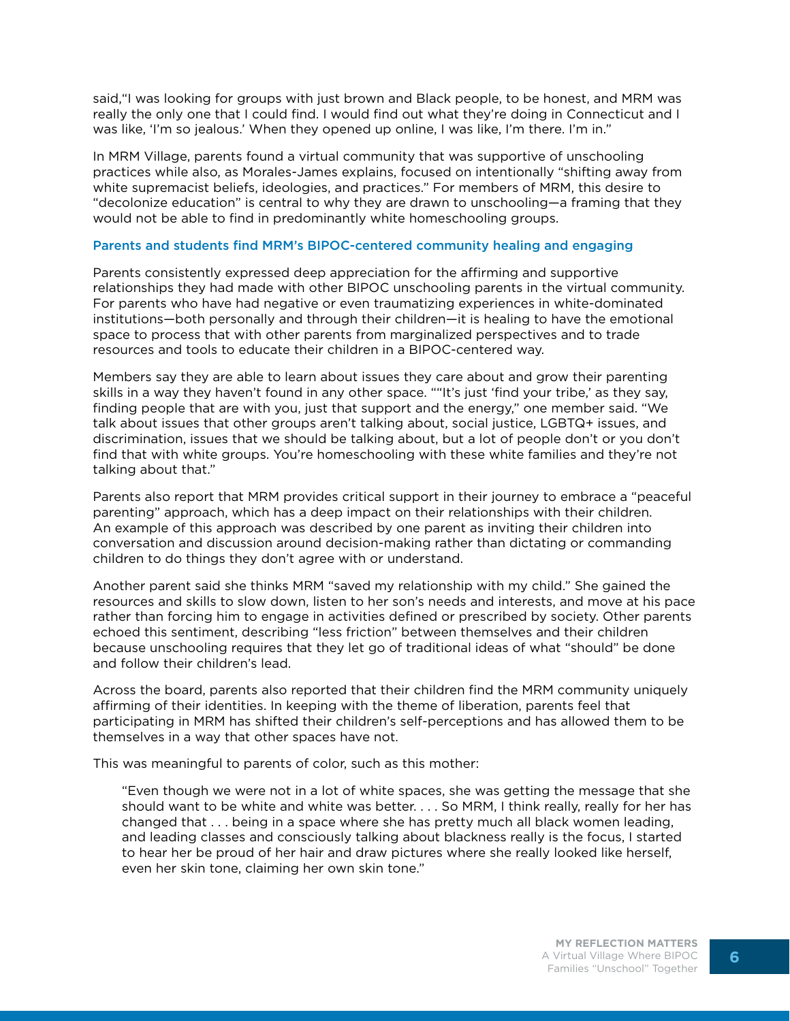said,"I was looking for groups with just brown and Black people, to be honest, and MRM was really the only one that I could find. I would find out what they're doing in Connecticut and I was like, 'I'm so jealous.' When they opened up online, I was like, I'm there. I'm in."

In MRM Village, parents found a virtual community that was supportive of unschooling practices while also, as Morales-James explains, focused on intentionally "shifting away from white supremacist beliefs, ideologies, and practices." For members of MRM, this desire to "decolonize education" is central to why they are drawn to unschooling—a framing that they would not be able to find in predominantly white homeschooling groups.

#### Parents and students find MRM's BIPOC-centered community healing and engaging

Parents consistently expressed deep appreciation for the affirming and supportive relationships they had made with other BIPOC unschooling parents in the virtual community. For parents who have had negative or even traumatizing experiences in white-dominated institutions—both personally and through their children—it is healing to have the emotional space to process that with other parents from marginalized perspectives and to trade resources and tools to educate their children in a BIPOC-centered way.

Members say they are able to learn about issues they care about and grow their parenting skills in a way they haven't found in any other space. ""It's just 'find your tribe,' as they say, finding people that are with you, just that support and the energy," one member said. "We talk about issues that other groups aren't talking about, social justice, LGBTQ+ issues, and discrimination, issues that we should be talking about, but a lot of people don't or you don't find that with white groups. You're homeschooling with these white families and they're not talking about that."

Parents also report that MRM provides critical support in their journey to embrace a "peaceful parenting" approach, which has a deep impact on their relationships with their children. An example of this approach was described by one parent as inviting their children into conversation and discussion around decision-making rather than dictating or commanding children to do things they don't agree with or understand.

Another parent said she thinks MRM "saved my relationship with my child." She gained the resources and skills to slow down, listen to her son's needs and interests, and move at his pace rather than forcing him to engage in activities defined or prescribed by society. Other parents echoed this sentiment, describing "less friction" between themselves and their children because unschooling requires that they let go of traditional ideas of what "should" be done and follow their children's lead.

Across the board, parents also reported that their children find the MRM community uniquely affirming of their identities. In keeping with the theme of liberation, parents feel that participating in MRM has shifted their children's self-perceptions and has allowed them to be themselves in a way that other spaces have not.

This was meaningful to parents of color, such as this mother:

"Even though we were not in a lot of white spaces, she was getting the message that she should want to be white and white was better. . . . So MRM, I think really, really for her has changed that . . . being in a space where she has pretty much all black women leading, and leading classes and consciously talking about blackness really is the focus, I started to hear her be proud of her hair and draw pictures where she really looked like herself, even her skin tone, claiming her own skin tone."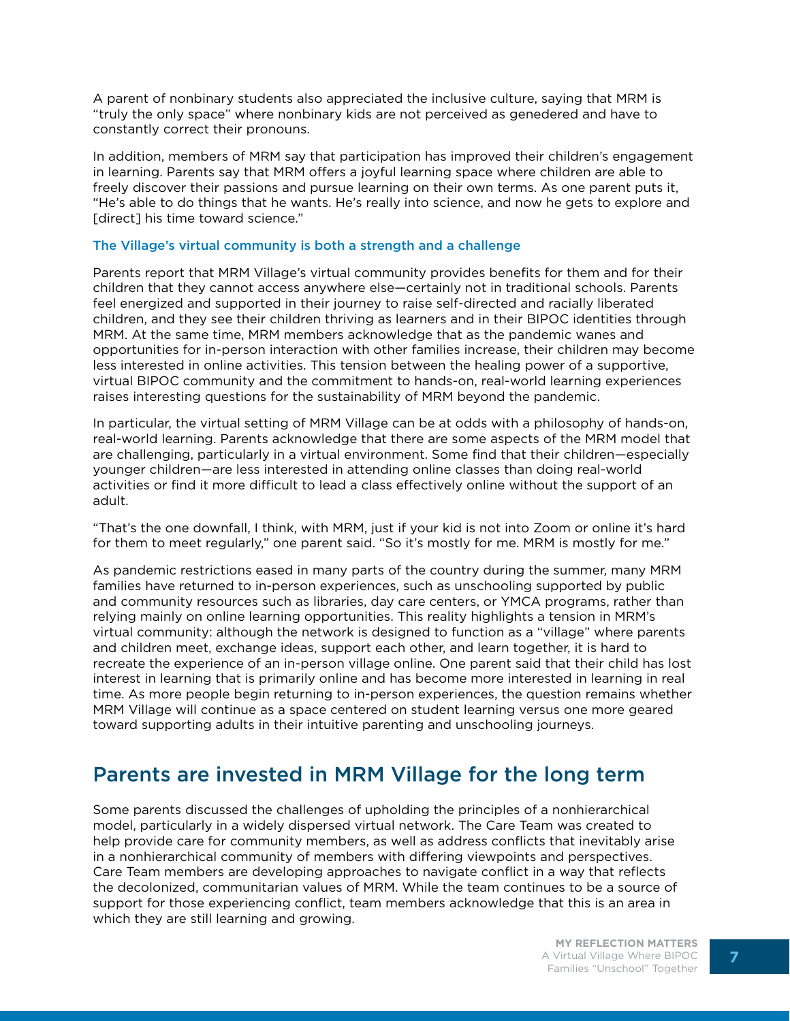A parent of nonbinary students also appreciated the inclusive culture, saying that MRM is "truly the only space" where nonbinary kids are not perceived as genedered and have to constantly correct their pronouns.

In addition, members of MRM say that participation has improved their children's engagement in learning. Parents say that MRM offers a joyful learning space where children are able to freely discover their passions and pursue learning on their own terms. As one parent puts it, "He's able to do things that he wants. He's really into science, and now he gets to explore and [direct] his time toward science."

#### The Village's virtual community is both a strength and a challenge

Parents report that MRM Village's virtual community provides benefits for them and for their children that they cannot access anywhere else—certainly not in traditional schools. Parents feel energized and supported in their journey to raise self-directed and racially liberated children, and they see their children thriving as learners and in their BIPOC identities through MRM. At the same time, MRM members acknowledge that as the pandemic wanes and opportunities for in-person interaction with other families increase, their children may become less interested in online activities. This tension between the healing power of a supportive, virtual BIPOC community and the commitment to hands-on, real-world learning experiences raises interesting questions for the sustainability of MRM beyond the pandemic.

In particular, the virtual setting of MRM Village can be at odds with a philosophy of hands-on, real-world learning. Parents acknowledge that there are some aspects of the MRM model that are challenging, particularly in a virtual environment. Some find that their children—especially younger children—are less interested in attending online classes than doing real-world activities or find it more difficult to lead a class effectively online without the support of an adult.

"That's the one downfall, I think, with MRM, just if your kid is not into Zoom or online it's hard for them to meet regularly," one parent said. "So it's mostly for me. MRM is mostly for me."

As pandemic restrictions eased in many parts of the country during the summer, many MRM families have returned to in-person experiences, such as unschooling supported by public and community resources such as libraries, day care centers, or YMCA programs, rather than relying mainly on online learning opportunities. This reality highlights a tension in MRM's virtual community: although the network is designed to function as a "village" where parents and children meet, exchange ideas, support each other, and learn together, it is hard to recreate the experience of an in-person village online. One parent said that their child has lost interest in learning that is primarily online and has become more interested in learning in real time. As more people begin returning to in-person experiences, the question remains whether MRM Village will continue as a space centered on student learning versus one more geared toward supporting adults in their intuitive parenting and unschooling journeys.

## Parents are invested in MRM Village for the long term

Some parents discussed the challenges of upholding the principles of a nonhierarchical model, particularly in a widely dispersed virtual network. The Care Team was created to help provide care for community members, as well as address conflicts that inevitably arise in a nonhierarchical community of members with differing viewpoints and perspectives. Care Team members are developing approaches to navigate conflict in a way that reflects the decolonized, communitarian values of MRM. While the team continues to be a source of support for those experiencing conflict, team members acknowledge that this is an area in which they are still learning and growing.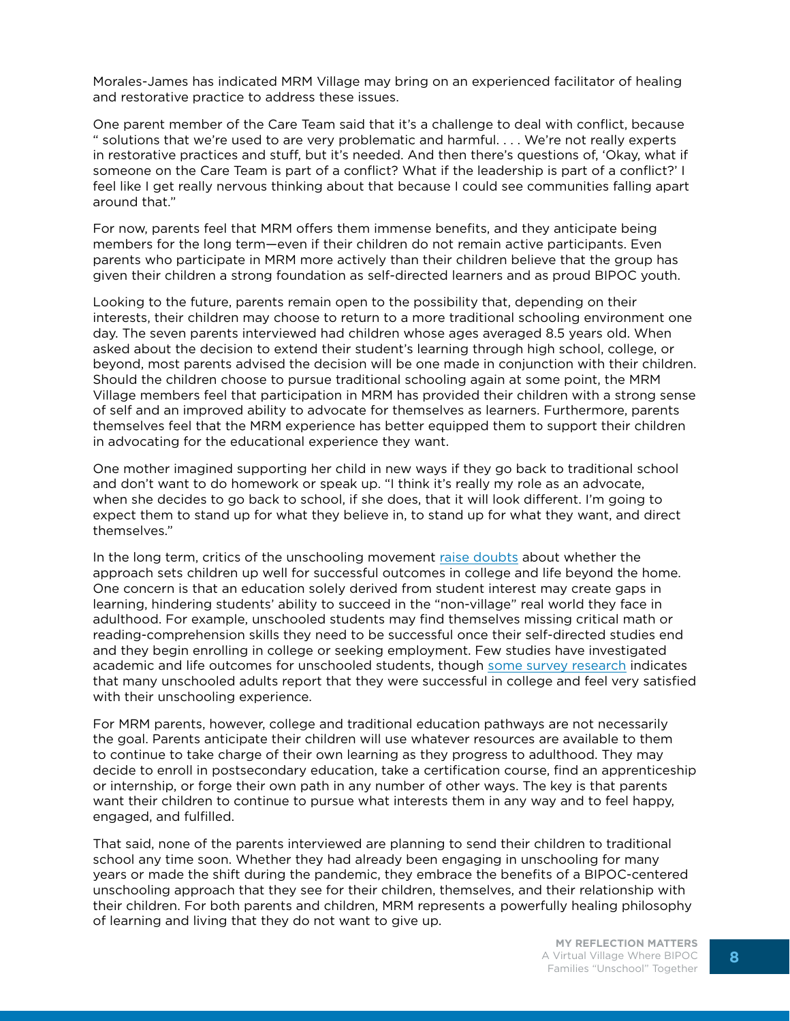Morales-James has indicated MRM Village may bring on an experienced facilitator of healing and restorative practice to address these issues.

One parent member of the Care Team said that it's a challenge to deal with conflict, because " solutions that we're used to are very problematic and harmful. . . . We're not really experts in restorative practices and stuff, but it's needed. And then there's questions of, 'Okay, what if someone on the Care Team is part of a conflict? What if the leadership is part of a conflict?' I feel like I get really nervous thinking about that because I could see communities falling apart around that."

For now, parents feel that MRM offers them immense benefits, and they anticipate being members for the long term—even if their children do not remain active participants. Even parents who participate in MRM more actively than their children believe that the group has given their children a strong foundation as self-directed learners and as proud BIPOC youth.

Looking to the future, parents remain open to the possibility that, depending on their interests, their children may choose to return to a more traditional schooling environment one day. The seven parents interviewed had children whose ages averaged 8.5 years old. When asked about the decision to extend their student's learning through high school, college, or beyond, most parents advised the decision will be one made in conjunction with their children. Should the children choose to pursue traditional schooling again at some point, the MRM Village members feel that participation in MRM has provided their children with a strong sense of self and an improved ability to advocate for themselves as learners. Furthermore, parents themselves feel that the MRM experience has better equipped them to support their children in advocating for the educational experience they want.

One mother imagined supporting her child in new ways if they go back to traditional school and don't want to do homework or speak up. "I think it's really my role as an advocate, when she decides to go back to school, if she does, that it will look different. I'm going to expect them to stand up for what they believe in, to stand up for what they want, and direct themselves."

In the long term, critics of the unschooling movement [raise doubts](https://resilienteducator.com/classroom-resources/unschooling/) about whether the approach sets children up well for successful outcomes in college and life beyond the home. One concern is that an education solely derived from student interest may create gaps in learning, hindering students' ability to succeed in the "non-village" real world they face in adulthood. For example, unschooled students may find themselves missing critical math or reading-comprehension skills they need to be successful once their self-directed studies end and they begin enrolling in college or seeking employment. Few studies have investigated academic and life outcomes for unschooled students, though [some survey research](https://www.kqed.org/mindshift/37091/how-do-unschoolers-turn-out) indicates that many unschooled adults report that they were successful in college and feel very satisfied with their unschooling experience.

For MRM parents, however, college and traditional education pathways are not necessarily the goal. Parents anticipate their children will use whatever resources are available to them to continue to take charge of their own learning as they progress to adulthood. They may decide to enroll in postsecondary education, take a certification course, find an apprenticeship or internship, or forge their own path in any number of other ways. The key is that parents want their children to continue to pursue what interests them in any way and to feel happy, engaged, and fulfilled.

That said, none of the parents interviewed are planning to send their children to traditional school any time soon. Whether they had already been engaging in unschooling for many years or made the shift during the pandemic, they embrace the benefits of a BIPOC-centered unschooling approach that they see for their children, themselves, and their relationship with their children. For both parents and children, MRM represents a powerfully healing philosophy of learning and living that they do not want to give up.